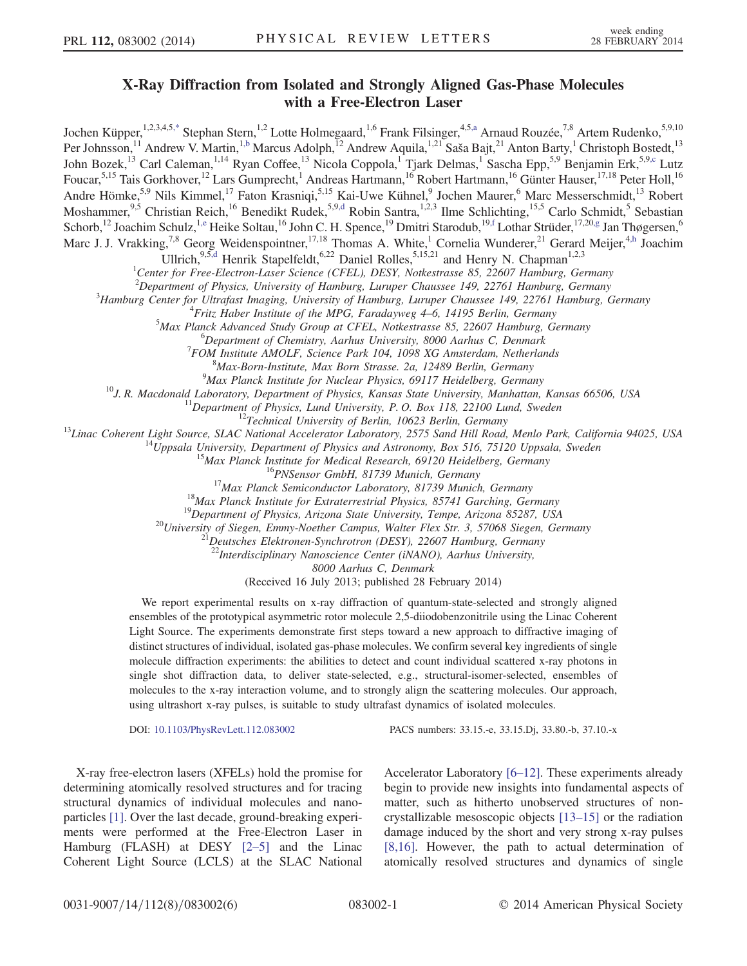## X-Ray Diffraction from Isolated and Strongly Aligned Gas-Phase Molecules with a Free-Electron Laser

<span id="page-0-2"></span><span id="page-0-1"></span><span id="page-0-0"></span>Jochen Küpper,<sup>1,2,3,4,5[,\\*](#page-4-0)</sup> Stephan Stern,<sup>1,2</sup> Lotte Holmegaard,<sup>1,6</sup> Frank Filsinger,<sup>4,[5,a](#page-4-1)</sup> Arnaud Rouzée,<sup>7,8</sup> Artem Rudenko,<sup>5,9,10</sup> Per Johnsson,<sup>11</sup> Andrew V. Martin,<sup>1[,b](#page-4-2)</sup> Marcus Adolph,<sup>12</sup> Andrew Aquila,<sup>1,21</sup> Saša Bajt,<sup>21</sup> Anton Barty,<sup>1</sup> Christoph Bostedt,<sup>13</sup> John Bozek,<sup>13</sup> Carl Caleman,<sup>1,14</sup> Ryan Coffee,<sup>13</sup> Nicola Coppola,<sup>1</sup> Tjark Delmas,<sup>1</sup> Sascha Epp,<sup>5,9</sup> Benjamin Erk,<sup>5,9[,c](#page-4-3)</sup> Lutz Foucar,<sup>5,15</sup> Tais Gorkhover,<sup>12</sup> Lars Gumprecht,<sup>1</sup> Andreas Hartmann,<sup>16</sup> Robert Hartmann,<sup>16</sup> Günter Hauser,<sup>17,18</sup> Peter Holl,<sup>16</sup> Andre Hömke,<sup>5,9</sup> Nils Kimmel,<sup>17</sup> Faton Krasniqi,<sup>5,15</sup> Kai-Uwe Kühnel,<sup>9</sup> Jochen Maurer,<sup>6</sup> Marc Messerschmidt,<sup>13</sup> Robert Moshammer,<sup>9,5</sup> Christian Reich,<sup>16</sup> Benedikt Rudek,<sup>5,9[,d](#page-4-4)</sup> Robin Santra,<sup>1,2,3</sup> Ilme Schlichting,<sup>15,5</sup> Carlo Schmidt,<sup>5</sup> Sebastian Schorb,<sup>12</sup> Joachim Schulz,<sup>1[,e](#page-4-5)</sup> Heike Soltau,<sup>16</sup> John C. H. Spence,<sup>19</sup> Dmitri Starodub,<sup>19[,f](#page-4-6)</sup> Lothar Strüder,<sup>17,2[0,g](#page-4-7)</sup> Jan Thøgersen,<sup>6</sup> Marc J. J. Vrakking,<sup>7,8</sup> Georg Weidenspointner,<sup>17,18</sup> Thomas A. White,<sup>1</sup> Cornelia Wunderer,<sup>21</sup> Gerard Meijer,<sup>4[,h](#page-4-8)</sup> Joachim

Ullrich,<sup>9,[5,d](#page-4-4)</sup> Henrik Stapelfeldt,<sup>6,22</sup> Daniel Rolles,<sup>5,15,21</sup> and Henry N. Chapman<sup>1,2,3</sup>

<sup>1</sup>Center for Free-Electron-Laser Science (CFEL), DESY, Notkestrasse 85, 22607 Hamburg, Germany

<span id="page-0-5"></span><span id="page-0-4"></span><span id="page-0-3"></span><sup>2</sup>Department of Physics, University of Hamburg, Luruper Chaussee 149, 22761 Hamburg, Germany<br><sup>3</sup>Hamburg Center for Ultrafast Imaging, University of Hamburg, Luruper Chaussee 140, 22761 Hamburg, C

 ${}^{3}$ Hamburg Center for Ultrafast Imaging, University of Hamburg, Luruper Chaussee 149, 22761 Hamburg, Germany

<sup>4</sup> Fritz Haber Institute of the MPG, Faradayweg  $4-6$ , 14195 Berlin, Germany

 $^5$ Max Planck Advanced Study Group at CFEL, Notkestrasse 85, 22607 Hamburg, Germany

 ${}^{6}$ Department of Chemistry, Aarhus University, 8000 Aarhus C, Denmark

 $T$ FOM Institute AMOLF, Science Park 104, 1098 XG Amsterdam, Netherlands

 $^{8}$ Max-Born-Institute, Max Born Strasse. 2a, 12489 Berlin, Germany  $^{9}$ Max Planck Institute for Nuclear Physics, 69117 Heidelberg, Germany

<sup>10</sup>J. R. Macdonald Laboratory, Department of Physics, Kansas State University, Manhattan, Kansas 66506, USA<br><sup>10</sup>J. R. Macdonald Laboratory, Department of Physics, Kansas State University, Manhattan, Kansas 66506, USA<br><sup>11</sup>

<sup>21</sup> Deutsches Elektronen-Synchrotron (DESY), 22607 Hamburg, Germany <sup>22</sup> Interdisciplinary Nanoscience Center (iNANO), Aarhus University,

8000 Aarhus C, Denmark

(Received 16 July 2013; published 28 February 2014)

We report experimental results on x-ray diffraction of quantum-state-selected and strongly aligned ensembles of the prototypical asymmetric rotor molecule 2,5-diiodobenzonitrile using the Linac Coherent Light Source. The experiments demonstrate first steps toward a new approach to diffractive imaging of distinct structures of individual, isolated gas-phase molecules. We confirm several key ingredients of single molecule diffraction experiments: the abilities to detect and count individual scattered x-ray photons in single shot diffraction data, to deliver state-selected, e.g., structural-isomer-selected, ensembles of molecules to the x-ray interaction volume, and to strongly align the scattering molecules. Our approach, using ultrashort x-ray pulses, is suitable to study ultrafast dynamics of isolated molecules.

DOI: [10.1103/PhysRevLett.112.083002](http://dx.doi.org/10.1103/PhysRevLett.112.083002) PACS numbers: 33.15.-e, 33.15.Dj, 33.80.-b, 37.10.-x

X-ray free-electron lasers (XFELs) hold the promise for determining atomically resolved structures and for tracing structural dynamics of individual molecules and nanoparticles [\[1\].](#page-4-9) Over the last decade, ground-breaking experiments were performed at the Free-Electron Laser in Hamburg (FLASH) at DESY [\[2](#page-4-10)–5] and the Linac Coherent Light Source (LCLS) at the SLAC National Accelerator Laboratory [6–[12\].](#page-4-11) These experiments already begin to provide new insights into fundamental aspects of matter, such as hitherto unobserved structures of noncrystallizable mesoscopic objects [\[13](#page-4-12)–15] or the radiation damage induced by the short and very strong x-ray pulses [\[8,16\]](#page-4-13). However, the path to actual determination of atomically resolved structures and dynamics of single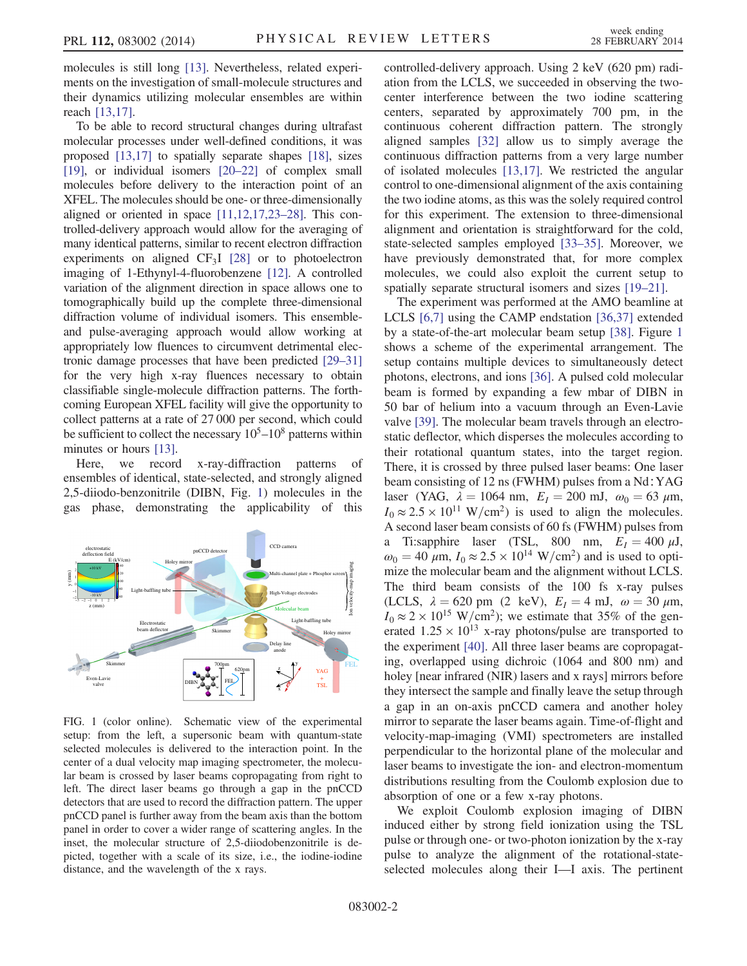molecules is still long [\[13\].](#page-4-12) Nevertheless, related experiments on the investigation of small-molecule structures and their dynamics utilizing molecular ensembles are within reach [\[13,17\]](#page-4-12).

To be able to record structural changes during ultrafast molecular processes under well-defined conditions, it was proposed [\[13,17\]](#page-4-12) to spatially separate shapes [\[18\],](#page-4-14) sizes [\[19\],](#page-4-15) or individual isomers [20–[22\]](#page-4-16) of complex small molecules before delivery to the interaction point of an XFEL. The molecules should be one- or three-dimensionally aligned or oriented in space [\[11,12,17,23](#page-4-17)–28]. This controlled-delivery approach would allow for the averaging of many identical patterns, similar to recent electron diffraction experiments on aligned  $CF_3I$  [\[28\]](#page-4-18) or to photoelectron imaging of 1-Ethynyl-4-fluorobenzene [\[12\]](#page-4-19). A controlled variation of the alignment direction in space allows one to tomographically build up the complete three-dimensional diffraction volume of individual isomers. This ensembleand pulse-averaging approach would allow working at appropriately low fluences to circumvent detrimental electronic damage processes that have been predicted [29–[31\]](#page-4-20) for the very high x-ray fluences necessary to obtain classifiable single-molecule diffraction patterns. The forthcoming European XFEL facility will give the opportunity to collect patterns at a rate of 27 000 per second, which could be sufficient to collect the necessary  $10<sup>5</sup> - 10<sup>8</sup>$  patterns within minutes or hours [\[13\]](#page-4-12).

Here, we record x-ray-diffraction patterns of ensembles of identical, state-selected, and strongly aligned 2,5-diiodo-benzonitrile (DIBN, Fig. [1](#page-1-0)) molecules in the gas phase, demonstrating the applicability of this

<span id="page-1-0"></span>

FIG. 1 (color online). Schematic view of the experimental setup: from the left, a supersonic beam with quantum-state selected molecules is delivered to the interaction point. In the center of a dual velocity map imaging spectrometer, the molecular beam is crossed by laser beams copropagating from right to left. The direct laser beams go through a gap in the pnCCD detectors that are used to record the diffraction pattern. The upper pnCCD panel is further away from the beam axis than the bottom panel in order to cover a wider range of scattering angles. In the inset, the molecular structure of 2,5-diiodobenzonitrile is depicted, together with a scale of its size, i.e., the iodine-iodine distance, and the wavelength of the x rays.

controlled-delivery approach. Using 2 keV (620 pm) radiation from the LCLS, we succeeded in observing the twocenter interference between the two iodine scattering centers, separated by approximately 700 pm, in the continuous coherent diffraction pattern. The strongly aligned samples [\[32\]](#page-5-0) allow us to simply average the continuous diffraction patterns from a very large number of isolated molecules [\[13,17\]](#page-4-12). We restricted the angular control to one-dimensional alignment of the axis containing the two iodine atoms, as this was the solely required control for this experiment. The extension to three-dimensional alignment and orientation is straightforward for the cold, state-selected samples employed [33–[35\].](#page-5-1) Moreover, we have previously demonstrated that, for more complex molecules, we could also exploit the current setup to spatially separate structural isomers and sizes [\[19](#page-4-15)–21].

The experiment was performed at the AMO beamline at LCLS [\[6,7\]](#page-4-11) using the CAMP endstation [\[36,37\]](#page-5-2) extended by a state-of-the-art molecular beam setup [\[38\]](#page-5-3). Figure [1](#page-1-0) shows a scheme of the experimental arrangement. The setup contains multiple devices to simultaneously detect photons, electrons, and ions [\[36\].](#page-5-2) A pulsed cold molecular beam is formed by expanding a few mbar of DIBN in 50 bar of helium into a vacuum through an Even-Lavie valve [\[39\]](#page-5-4). The molecular beam travels through an electrostatic deflector, which disperses the molecules according to their rotational quantum states, into the target region. There, it is crossed by three pulsed laser beams: One laser beam consisting of 12 ns (FWHM) pulses from a Nd∶YAG laser (YAG,  $\lambda = 1064$  nm,  $E_I = 200$  mJ,  $\omega_0 = 63 \mu$ m,  $I_0 \approx 2.5 \times 10^{11} \text{ W/cm}^2$  is used to align the molecules. A second laser beam consists of 60 fs (FWHM) pulses from a Ti:sapphire laser (TSL, 800 nm,  $E_I = 400 \mu J$ ,  $\omega_0 = 40 \ \mu \text{m}$ ,  $I_0 \approx 2.5 \times 10^{14} \ \text{W/cm}^2$  and is used to optimize the molecular beam and the alignment without LCLS. The third beam consists of the 100 fs x-ray pulses (LCLS,  $\lambda = 620$  pm (2 keV),  $E_I = 4$  mJ,  $\omega = 30 \mu$ m,  $I_0 \approx 2 \times 10^{15}$  W/cm<sup>2</sup>); we estimate that 35% of the generated  $1.25 \times 10^{13}$  x-ray photons/pulse are transported to the experiment [\[40\]](#page-5-5). All three laser beams are copropagating, overlapped using dichroic (1064 and 800 nm) and holey [near infrared (NIR) lasers and x rays] mirrors before they intersect the sample and finally leave the setup through a gap in an on-axis pnCCD camera and another holey mirror to separate the laser beams again. Time-of-flight and velocity-map-imaging (VMI) spectrometers are installed perpendicular to the horizontal plane of the molecular and laser beams to investigate the ion- and electron-momentum distributions resulting from the Coulomb explosion due to absorption of one or a few x-ray photons.

We exploit Coulomb explosion imaging of DIBN induced either by strong field ionization using the TSL pulse or through one- or two-photon ionization by the x-ray pulse to analyze the alignment of the rotational-stateselected molecules along their I—I axis. The pertinent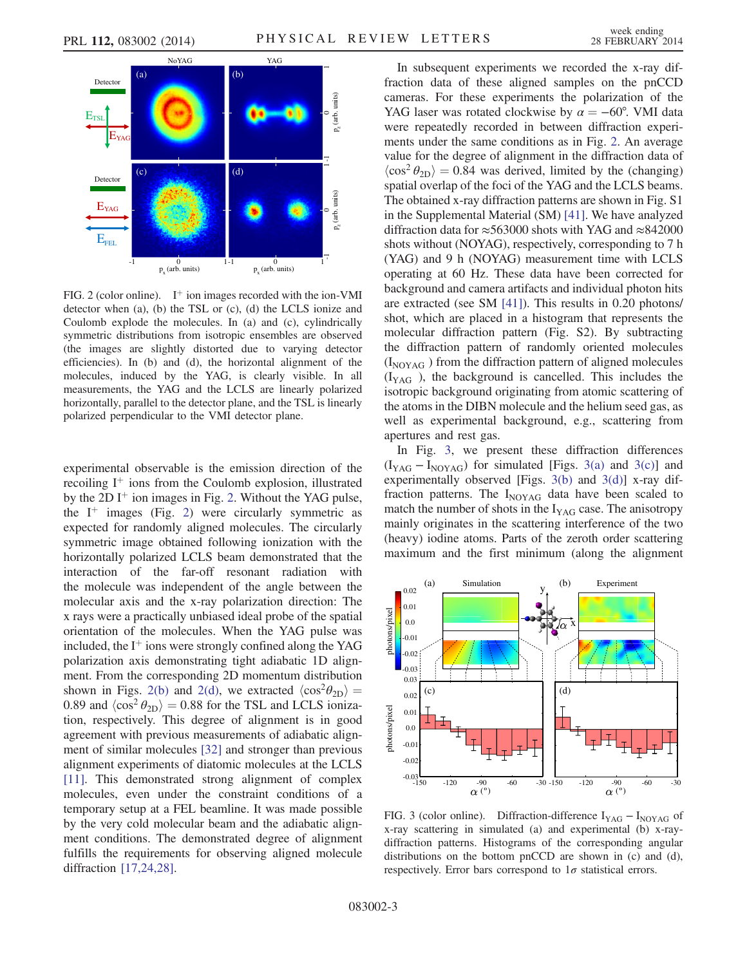<span id="page-2-0"></span>

FIG. 2 (color online).  $I^+$  ion images recorded with the ion-VMI detector when (a), (b) the TSL or (c), (d) the LCLS ionize and Coulomb explode the molecules. In (a) and (c), cylindrically symmetric distributions from isotropic ensembles are observed (the images are slightly distorted due to varying detector efficiencies). In (b) and (d), the horizontal alignment of the molecules, induced by the YAG, is clearly visible. In all measurements, the YAG and the LCLS are linearly polarized horizontally, parallel to the detector plane, and the TSL is linearly polarized perpendicular to the VMI detector plane.

experimental observable is the emission direction of the recoiling  $I^+$  ions from the Coulomb explosion, illustrated by the 2D  $I^+$  ion images in Fig. [2.](#page-2-0) Without the YAG pulse, the  $I^+$  images (Fig. [2](#page-2-0)) were circularly symmetric as expected for randomly aligned molecules. The circularly symmetric image obtained following ionization with the horizontally polarized LCLS beam demonstrated that the interaction of the far-off resonant radiation with the molecule was independent of the angle between the molecular axis and the x-ray polarization direction: The x rays were a practically unbiased ideal probe of the spatial orientation of the molecules. When the YAG pulse was included, the  $I^+$  ions were strongly confined along the YAG polarization axis demonstrating tight adiabatic 1D alignment. From the corresponding 2D momentum distribution shown in Figs. [2\(b\)](#page-2-0) and [2\(d\)](#page-2-0), we extracted  $\langle \cos^2{\theta_{2D}} \rangle$  = 0.89 and  $\langle \cos^2 \theta_{2D} \rangle = 0.88$  for the TSL and LCLS ionization, respectively. This degree of alignment is in good agreement with previous measurements of adiabatic alignment of similar molecules [\[32\]](#page-5-0) and stronger than previous alignment experiments of diatomic molecules at the LCLS [\[11\]](#page-4-17). This demonstrated strong alignment of complex molecules, even under the constraint conditions of a temporary setup at a FEL beamline. It was made possible by the very cold molecular beam and the adiabatic alignment conditions. The demonstrated degree of alignment fulfills the requirements for observing aligned molecule diffraction [\[17,24,28\]](#page-4-21).

In subsequent experiments we recorded the x-ray diffraction data of these aligned samples on the pnCCD cameras. For these experiments the polarization of the YAG laser was rotated clockwise by  $\alpha = -60^{\circ}$ . VMI data were repeatedly recorded in between diffraction experiments under the same conditions as in Fig. [2.](#page-2-0) An average value for the degree of alignment in the diffraction data of  $\langle \cos^2 \theta_{2D} \rangle = 0.84$  was derived, limited by the (changing) spatial overlap of the foci of the YAG and the LCLS beams. The obtained x-ray diffraction patterns are shown in Fig. S1 in the Supplemental Material (SM) [\[41\].](#page-5-6) We have analyzed diffraction data for ≈563000 shots with YAG and ≈842000 shots without (NOYAG), respectively, corresponding to 7 h (YAG) and 9 h (NOYAG) measurement time with LCLS operating at 60 Hz. These data have been corrected for background and camera artifacts and individual photon hits are extracted (see SM [\[41\]](#page-5-6)). This results in 0.20 photons/ shot, which are placed in a histogram that represents the molecular diffraction pattern (Fig. S2). By subtracting the diffraction pattern of randomly oriented molecules  $(I_{\text{NOYAG}})$  from the diffraction pattern of aligned molecules  $(I_{YAG})$ , the background is cancelled. This includes the isotropic background originating from atomic scattering of the atoms in the DIBN molecule and the helium seed gas, as well as experimental background, e.g., scattering from apertures and rest gas.

In Fig. [3,](#page-2-1) we present these diffraction differences  $(I_{YAG} - I_{NOYAG})$  for simulated [Figs. [3\(a\)](#page-2-1) and [3\(c\)\]](#page-2-1) and experimentally observed [Figs. [3\(b\)](#page-2-1) and [3\(d\)\]](#page-2-1) x-ray diffraction patterns. The  $I_{\text{NOYAG}}$  data have been scaled to match the number of shots in the  $I_{YAG}$  case. The anisotropy mainly originates in the scattering interference of the two (heavy) iodine atoms. Parts of the zeroth order scattering maximum and the first minimum (along the alignment

<span id="page-2-1"></span>

FIG. 3 (color online). Diffraction-difference  $I_{YAG} - I_{NOYAG}$  of x-ray scattering in simulated (a) and experimental (b) x-raydiffraction patterns. Histograms of the corresponding angular distributions on the bottom pnCCD are shown in (c) and (d), respectively. Error bars correspond to  $1\sigma$  statistical errors.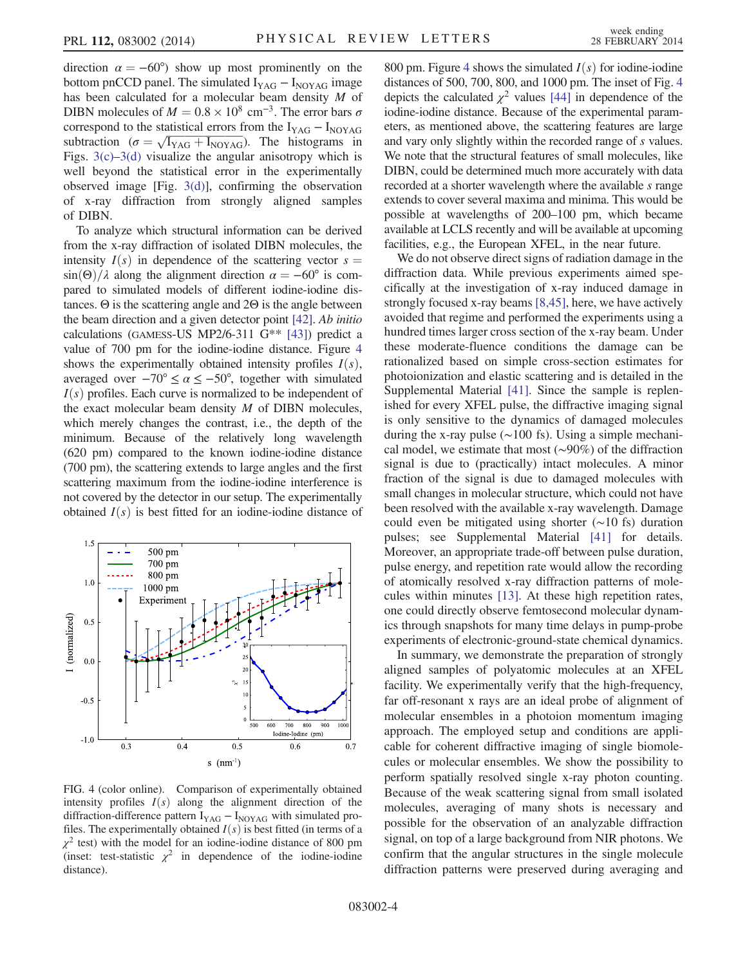direction  $\alpha = -60^{\circ}$  show up most prominently on the bottom pnCCD panel. The simulated  $I_{YAG} - I_{NOYAG}$  image has been calculated for a molecular beam density M of DIBN molecules of  $M = 0.8 \times 10^8$  cm<sup>-3</sup>. The error bars  $\sigma$ correspond to the statistical errors from the  $I_{YAG} - I_{NOYAG}$ correspond to the statistical errors from the  $I_{YAG} - I_{NOYAG}$ <br>subtraction ( $\sigma = \sqrt{I_{YAG} + I_{NOYAG}}$ ). The histograms in Figs.  $3(c) - 3(d)$  $3(c) - 3(d)$  $3(c) - 3(d)$  visualize the angular anisotropy which is well beyond the statistical error in the experimentally observed image [Fig. [3\(d\)](#page-2-1)], confirming the observation of x-ray diffraction from strongly aligned samples of DIBN.

To analyze which structural information can be derived from the x-ray diffraction of isolated DIBN molecules, the intensity  $I(s)$  in dependence of the scattering vector  $s =$  $\sin(\Theta)/\lambda$  along the alignment direction  $\alpha = -60^{\circ}$  is compared to simulated models of different iodine-iodine distances. Θ is the scattering angle and 2Θ is the angle between the beam direction and a given detector point [\[42\]](#page-5-7). Ab initio calculations (GAMESS-US MP2/6-311 G\*\* [\[43\]](#page-5-8)) predict a value of 700 pm for the iodine-iodine distance. Figure [4](#page-3-0) shows the experimentally obtained intensity profiles  $I(s)$ , averaged over  $-70^{\circ} \le \alpha \le -50^{\circ}$ , together with simulated  $I(s)$  profiles. Each curve is normalized to be independent of the exact molecular beam density  $M$  of DIBN molecules, which merely changes the contrast, i.e., the depth of the minimum. Because of the relatively long wavelength (620 pm) compared to the known iodine-iodine distance (700 pm), the scattering extends to large angles and the first scattering maximum from the iodine-iodine interference is not covered by the detector in our setup. The experimentally obtained  $I(s)$  is best fitted for an iodine-iodine distance of

<span id="page-3-0"></span>

FIG. 4 (color online). Comparison of experimentally obtained intensity profiles  $I(s)$  along the alignment direction of the diffraction-difference pattern  $I_{YAG} - I_{NOYAG}$  with simulated profiles. The experimentally obtained  $I(s)$  is best fitted (in terms of a  $\chi^2$  test) with the model for an iodine-iodine distance of 800 pm (inset: test-statistic  $\chi^2$  in dependence of the iodine-iodine distance).

800 pm. Figure [4](#page-3-0) shows the simulated  $I(s)$  for iodine-iodine distances of 500, 700, 800, and 1000 pm. The inset of Fig. [4](#page-3-0) depicts the calculated  $\chi^2$  values [\[44\]](#page-5-9) in dependence of the iodine-iodine distance. Because of the experimental parameters, as mentioned above, the scattering features are large and vary only slightly within the recorded range of s values. We note that the structural features of small molecules, like DIBN, could be determined much more accurately with data recorded at a shorter wavelength where the available s range extends to cover several maxima and minima. This would be possible at wavelengths of 200–100 pm, which became available at LCLS recently and will be available at upcoming facilities, e.g., the European XFEL, in the near future.

We do not observe direct signs of radiation damage in the diffraction data. While previous experiments aimed specifically at the investigation of x-ray induced damage in strongly focused x-ray beams [\[8,45\],](#page-4-13) here, we have actively avoided that regime and performed the experiments using a hundred times larger cross section of the x-ray beam. Under these moderate-fluence conditions the damage can be rationalized based on simple cross-section estimates for photoionization and elastic scattering and is detailed in the Supplemental Material [\[41\]](#page-5-6). Since the sample is replenished for every XFEL pulse, the diffractive imaging signal is only sensitive to the dynamics of damaged molecules during the x-ray pulse (∼100 fs). Using a simple mechanical model, we estimate that most (∼90%) of the diffraction signal is due to (practically) intact molecules. A minor fraction of the signal is due to damaged molecules with small changes in molecular structure, which could not have been resolved with the available x-ray wavelength. Damage could even be mitigated using shorter (∼10 fs) duration pulses; see Supplemental Material [\[41\]](#page-5-6) for details. Moreover, an appropriate trade-off between pulse duration, pulse energy, and repetition rate would allow the recording of atomically resolved x-ray diffraction patterns of molecules within minutes [\[13\]](#page-4-12). At these high repetition rates, one could directly observe femtosecond molecular dynamics through snapshots for many time delays in pump-probe experiments of electronic-ground-state chemical dynamics.

In summary, we demonstrate the preparation of strongly aligned samples of polyatomic molecules at an XFEL facility. We experimentally verify that the high-frequency, far off-resonant x rays are an ideal probe of alignment of molecular ensembles in a photoion momentum imaging approach. The employed setup and conditions are applicable for coherent diffractive imaging of single biomolecules or molecular ensembles. We show the possibility to perform spatially resolved single x-ray photon counting. Because of the weak scattering signal from small isolated molecules, averaging of many shots is necessary and possible for the observation of an analyzable diffraction signal, on top of a large background from NIR photons. We confirm that the angular structures in the single molecule diffraction patterns were preserved during averaging and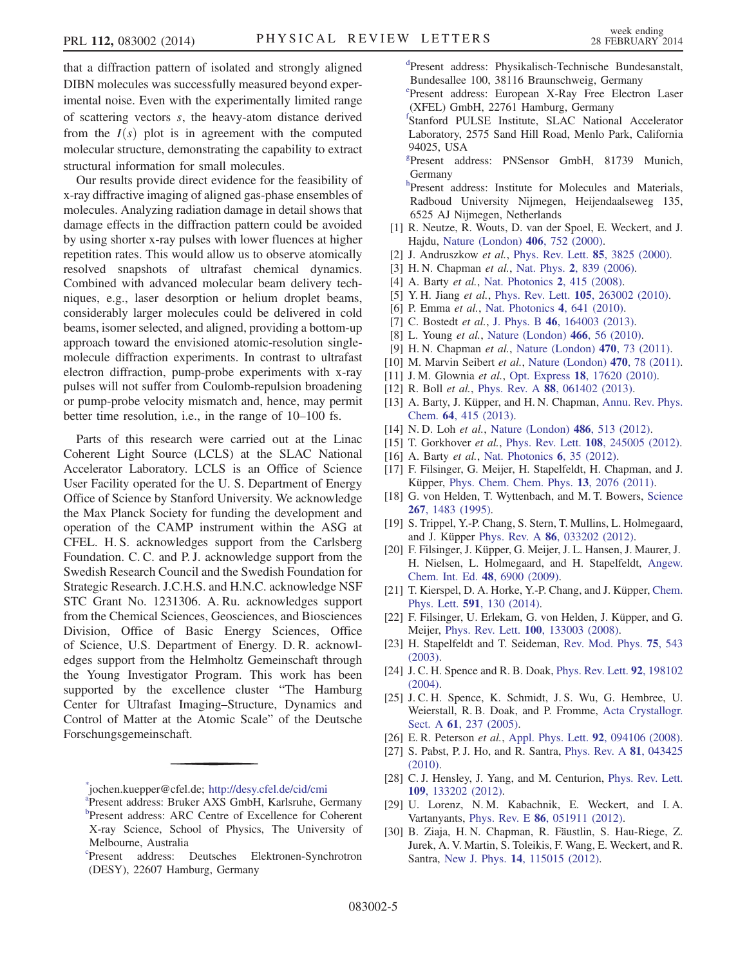that a diffraction pattern of isolated and strongly aligned DIBN molecules was successfully measured beyond experimental noise. Even with the experimentally limited range of scattering vectors s, the heavy-atom distance derived from the  $I(s)$  plot is in agreement with the computed molecular structure, demonstrating the capability to extract structural information for small molecules.

Our results provide direct evidence for the feasibility of x-ray diffractive imaging of aligned gas-phase ensembles of molecules. Analyzing radiation damage in detail shows that damage effects in the diffraction pattern could be avoided by using shorter x-ray pulses with lower fluences at higher repetition rates. This would allow us to observe atomically resolved snapshots of ultrafast chemical dynamics. Combined with advanced molecular beam delivery techniques, e.g., laser desorption or helium droplet beams, considerably larger molecules could be delivered in cold beams, isomer selected, and aligned, providing a bottom-up approach toward the envisioned atomic-resolution singlemolecule diffraction experiments. In contrast to ultrafast electron diffraction, pump-probe experiments with x-ray pulses will not suffer from Coulomb-repulsion broadening or pump-probe velocity mismatch and, hence, may permit better time resolution, i.e., in the range of 10–100 fs.

Parts of this research were carried out at the Linac Coherent Light Source (LCLS) at the SLAC National Accelerator Laboratory. LCLS is an Office of Science User Facility operated for the U. S. Department of Energy Office of Science by Stanford University. We acknowledge the Max Planck Society for funding the development and operation of the CAMP instrument within the ASG at CFEL. H. S. acknowledges support from the Carlsberg Foundation. C. C. and P. J. acknowledge support from the Swedish Research Council and the Swedish Foundation for Strategic Research. J.C.H.S. and H.N.C. acknowledge NSF STC Grant No. 1231306. A. Ru. acknowledges support from the Chemical Sciences, Geosciences, and Biosciences Division, Office of Basic Energy Sciences, Office of Science, U.S. Department of Energy. D. R. acknowledges support from the Helmholtz Gemeinschaft through the Young Investigator Program. This work has been supported by the excellence cluster "The Hamburg Center for Ultrafast Imaging–Structure, Dynamics and Control of Matter at the Atomic Scale" of the Deutsche Forschungsgemeinschaft.

<span id="page-4-4"></span>[d](#page-0-3) Present address: Physikalisch-Technische Bundesanstalt, Bundesallee 100, 38116 Braunschweig, Germany

<span id="page-4-5"></span>[e](#page-0-4) Present address: European X-Ray Free Electron Laser (XFEL) GmbH, 22761 Hamburg, Germany

<span id="page-4-6"></span>[f](#page-0-4) Stanford PULSE Institute, SLAC National Accelerator Laboratory, 2575 Sand Hill Road, Menlo Park, California 94025, USA

<span id="page-4-7"></span>[g](#page-0-4) Present address: PNSensor GmbH, 81739 Munich, Germany

<span id="page-4-8"></span>[h](#page-0-5)<sub>Present</sub> address: Institute for Molecules and Materials, Radboud University Nijmegen, Heijendaalseweg 135, 6525 AJ Nijmegen, Netherlands

- <span id="page-4-9"></span>[1] R. Neutze, R. Wouts, D. van der Spoel, E. Weckert, and J. Hajdu, [Nature \(London\)](http://dx.doi.org/10.1038/35021099) 406, 752 (2000).
- <span id="page-4-10"></span>[2] J. Andruszkow et al., [Phys. Rev. Lett.](http://dx.doi.org/10.1103/PhysRevLett.85.3825) **85**, 3825 (2000).
- [3] H. N. Chapman et al., Nat. Phys. 2[, 839 \(2006\)](http://dx.doi.org/10.1038/nphys461).
- [4] A. Barty et al., [Nat. Photonics](http://dx.doi.org/10.1038/nphoton.2008.128) 2, 415 (2008).
- [5] Y. H. Jiang et al., Phys. Rev. Lett. **105**[, 263002 \(2010\).](http://dx.doi.org/10.1103/PhysRevLett.105.263002)
- <span id="page-4-11"></span>[6] P. Emma et al., [Nat. Photonics](http://dx.doi.org/10.1038/nphoton.2010.176) 4, 641 (2010).
- [7] C. Bostedt et al., J. Phys. B 46[, 164003 \(2013\).](http://dx.doi.org/10.1088/0953-4075/46/16/164003)
- <span id="page-4-13"></span>[8] L. Young *et al.*, [Nature \(London\)](http://dx.doi.org/10.1038/nature09177) **466**, 56 (2010).
- [9] H. N. Chapman et al., [Nature \(London\)](http://dx.doi.org/10.1038/nature09750) 470, 73 (2011).
- [10] M. Marvin Seibert et al., [Nature \(London\)](http://dx.doi.org/10.1038/nature09748) 470, 78 (2011).
- <span id="page-4-17"></span>[11] J. M. Glownia et al., Opt. Express 18[, 17620 \(2010\)](http://dx.doi.org/10.1364/OE.18.017620).
- <span id="page-4-19"></span>[12] R. Boll *et al.*, *Phys. Rev. A* **88**[, 061402 \(2013\).](http://dx.doi.org/10.1103/PhysRevA.88.061402)
- <span id="page-4-12"></span>[13] A. Barty, J. Küpper, and H. N. Chapman, [Annu. Rev. Phys.](http://dx.doi.org/10.1146/annurev-physchem-032511-143708) Chem. 64[, 415 \(2013\).](http://dx.doi.org/10.1146/annurev-physchem-032511-143708)
- [14] N. D. Loh et al., [Nature \(London\)](http://dx.doi.org/10.1038/nature11222) **486**, 513 (2012).
- [15] T. Gorkhover et al., Phys. Rev. Lett. **108**[, 245005 \(2012\)](http://dx.doi.org/10.1103/PhysRevLett.108.245005).
- [16] A. Barty et al., [Nat. Photonics](http://dx.doi.org/10.1038/nphoton.2011.297) 6, 35 (2012).
- <span id="page-4-21"></span>[17] F. Filsinger, G. Meijer, H. Stapelfeldt, H. Chapman, and J. Küpper, [Phys. Chem. Chem. Phys.](http://dx.doi.org/10.1039/c0cp01585g) 13, 2076 (2011).
- <span id="page-4-14"></span>[18] G. von Helden, T. Wyttenbach, and M. T. Bowers, [Science](http://dx.doi.org/10.1126/science.267.5203.1483) 267[, 1483 \(1995\)](http://dx.doi.org/10.1126/science.267.5203.1483).
- <span id="page-4-15"></span>[19] S. Trippel, Y.-P. Chang, S. Stern, T. Mullins, L. Holmegaard, and J. Küpper Phys. Rev. A 86[, 033202 \(2012\)](http://dx.doi.org/10.1103/PhysRevA.86.033202).
- <span id="page-4-16"></span>[20] F. Filsinger, J. Küpper, G. Meijer, J. L. Hansen, J. Maurer, J. H. Nielsen, L. Holmegaard, and H. Stapelfeldt, [Angew.](http://dx.doi.org/10.1002/anie.200902650) [Chem. Int. Ed.](http://dx.doi.org/10.1002/anie.200902650) 48, 6900 (2009).
- [21] T. Kierspel, D. A. Horke, Y.-P. Chang, and J. Küpper, [Chem.](http://dx.doi.org/10.1016/j.cplett.2013.11.010) Phys. Lett. 591[, 130 \(2014\)](http://dx.doi.org/10.1016/j.cplett.2013.11.010).
- [22] F. Filsinger, U. Erlekam, G. von Helden, J. Küpper, and G. Meijer, Phys. Rev. Lett. 100[, 133003 \(2008\)](http://dx.doi.org/10.1103/PhysRevLett.100.133003).
- [23] H. Stapelfeldt and T. Seideman, [Rev. Mod. Phys.](http://dx.doi.org/10.1103/RevModPhys.75.543) 75, 543 [\(2003\).](http://dx.doi.org/10.1103/RevModPhys.75.543)
- [24] J. C. H. Spence and R. B. Doak, [Phys. Rev. Lett.](http://dx.doi.org/10.1103/PhysRevLett.92.198102) 92, 198102 [\(2004\).](http://dx.doi.org/10.1103/PhysRevLett.92.198102)
- [25] J. C. H. Spence, K. Schmidt, J. S. Wu, G. Hembree, U. Weierstall, R. B. Doak, and P. Fromme, [Acta Crystallogr.](http://dx.doi.org/10.1107/S0108767305002710) Sect. A **61**[, 237 \(2005\).](http://dx.doi.org/10.1107/S0108767305002710)
- [26] E. R. Peterson et al., [Appl. Phys. Lett.](http://dx.doi.org/10.1063/1.2890846) 92, 094106 (2008).
- [27] S. Pabst, P. J. Ho, and R. Santra, *[Phys. Rev. A](http://dx.doi.org/10.1103/PhysRevA.81.043425)* **81**, 043425 [\(2010\).](http://dx.doi.org/10.1103/PhysRevA.81.043425)
- <span id="page-4-18"></span>[28] C. J. Hensley, J. Yang, and M. Centurion, [Phys. Rev. Lett.](http://dx.doi.org/10.1103/PhysRevLett.109.133202) 109[, 133202 \(2012\).](http://dx.doi.org/10.1103/PhysRevLett.109.133202)
- <span id="page-4-20"></span>[29] U. Lorenz, N. M. Kabachnik, E. Weckert, and I. A. Vartanyants, Phys. Rev. E 86[, 051911 \(2012\)](http://dx.doi.org/10.1103/PhysRevE.86.051911).
- [30] B. Ziaja, H. N. Chapman, R. Fäustlin, S. Hau-Riege, Z. Jurek, A. V. Martin, S. Toleikis, F. Wang, E. Weckert, and R. Santra, New J. Phys. 14[, 115015 \(2012\)](http://dx.doi.org/10.1088/1367-2630/14/11/115015).

<span id="page-4-2"></span><span id="page-4-1"></span><span id="page-4-0"></span>[<sup>\\*</sup>](#page-0-0) jochen.kuepper@cfel.de; [http://desy.cfel.de/cid/cmi](http://dx.doi.org/<1>1R. Neutze, R. Wouts, D. van der Spoel, E. Weckert, and J. Hajdu, Nature (London) 406, 752 (2000).NATUAS0028-083610.1038/35021099<2>2J. Andruszkow et al., Phys. Rev. Lett. 85, 3825 (2000).PRLTAO0031-900710.1103/PhysRevLett.85.3825<3>3H. N. Chapman et al., Nat. Phys. 2, 839 (2006).NPAHAX1745-247310.1038/nphys461<4>4A. Barty et al., Nat. Photonics 2, 415 (2008).NPAHBY1749-488510.1038/nphoton.2008.128<5>5Y. H. Jiang et al., Phys. Rev. Lett. 105, 263002 (2010).PRLTAO0031-900710.1103/PhysRevLett.105.263002<6>6P. Emma et al., Nat. Photonics 4, 641 (2010).NPAHBY1749-488510.1038/nphoton.2010.176<7>7C. Bostedt et al., J. Phys. B 46, 164003 (2013).JPAPEH0953-407510.1088/0953-4075/46/16/164003<8>8L. Young et al., Nature (London) 466, 56 (2010).NATUAS0028-083610.1038/nature09177<9>9H. N. Chapman et al., Nature (London) 470, 73 (2011).NATUAS0028-083610.1038/nature09750<10>10M. Marvin Seibert et al., Nature (London) 470, 78 (2011).NATUAS0028-083610.1038/nature09748<11>11J. M. Glownia et al., Opt. Express 18, 17620 (2010).OPEXFF1094-408710.1364/OE.18.017620<12>12R. Boll et al., Phys. Rev. A 88, 061402 (2013).PLRAAN1050-294710.1103/PhysRevA.88.061402<13>13A. Barty, J. Küpper, and H. N. Chapman, Annu. Rev. Phys. Chem. 64, 415 (2013).ARPLAP0066-426X10.1146/annurev-physchem-032511-143708<14>14N. D. Loh et al., Nature (London) 486, 513 (2012).NATUAS0028-083610.1038/nature11222<15>15T. Gorkhover et al., Phys. Rev. Lett. 108, 245005 (2012).PRLTAO0031-900710.1103/PhysRevLett.108.245005<16>16A. Barty et al., Nat. Photonics 6, 35 (2012).NPAHBY1749-488510.1038/nphoton.2011.297<17>17F. Filsinger, G. Meijer, H. Stapelfeldt, H. Chapman, and J. Küpper, Phys. Chem. Chem. Phys. 13, 2076 (2011).PPCPFQ1463-907610.1039/c0cp01585g<18>18G. von Helden, T. Wyttenbach, and M. T. Bowers, Science 267, 1483 (1995).SCIEAS0036-807510.1126/science.267.5203.1483<19>19S. Trippel, Y.-P. Chang, S. Stern, T. Mullins, L. Holmegaard, and J. Küpper Phys. Rev. A 86, 033202 (2012).PLRAAN1050-294710.1103/PhysRevA.86.033202<20>20F. Filsinger, J. Küpper, G. Meijer, J. L. Hansen, J. Maurer, J. H. Nielsen, L. Holmegaard, and H. Stapelfeldt, Angew. Chem. Int. Ed. 48, 6900 (2009).ACIEF51433-785110.1002/anie.200902650<21>21T. Kierspel, D. A. Horke, Y.-P. Chang, and J. Küpper, Chem. Phys. Lett. 591, 130 (2014).CHPLBC0009-261410.1016/j.cplett.2013.11.010<22>22F. Filsinger, U. Erlekam, G. von Helden, J. Küpper, and G. Meijer, Phys. Rev. Lett. 100, 133003 (2008).PRLTAO0031-900710.1103/PhysRevLett.100.133003<23>23H. Stapelfeldt and T. Seideman, Rev. Mod. Phys. 75, 543 (2003).RMPHAT0034-686110.1103/RevModPhys.75.543<24>24J. C. H. Spence and R. B. Doak, Phys. Rev. Lett. 92, 198102 (2004).PRLTAO0031-900710.1103/PhysRevLett.92.198102<25>25J. C. H. Spence, K. Schmidt, J. S. Wu, G. Hembree, U. Weierstall, R. B. Doak, and P. Fromme, Acta Crystallogr. Sect. A 61, 237 (2005).ACACEQ0108-767310.1107/S0108767305002710<26>26E. R. Peterson et al., Appl. Phys. Lett. 92, 094106 (2008).APPLAB0003-695110.1063/1.2890846<27>27S. Pabst, P. J. Ho, and R. Santra, Phys. Rev. A 81, 043425 (2010).PLRAAN1050-294710.1103/PhysRevA.81.043425<28>28C. J. Hensley, J. Yang, and M. Centurion, Phys. Rev. Lett. 109, 133202 (2012).PRLTAO0031-900710.1103/PhysRevLett.109.133202<29>29U. Lorenz, N. M. Kabachnik, E. Weckert, and I. A. Vartanyants, Phys. Rev. E 86, 051911 (2012).PLEEE81539-375510.1103/PhysRevE.86.051911<30>30B. Ziaja, H. N. Chapman, R. Fäustlin, S. Hau-Riege, Z. Jurek, A. V. Martin, S. Toleikis, F. Wang, E. Weckert, and R. Santra, New J. Phys. 14, 115015 (2012).NJOPFM1367-263010.1088/1367-2630/14/11/115015<31>31A. Fratalocchi and G. Ruocco, Phys. Rev. Lett. 106, 105504 (2011).PRLTAO0031-900710.1103/PhysRevLett.106.105504<32>32L. Holmegaard, J. H. Nielsen, I. Nevo, H. Stapelfeldt, F. Filsinger, J. Küpper, and G. Meijer, Phys. Rev. Lett. 102, 023001 (2009).PRLTAO0031-900710.1103/PhysRevLett.102.023001<33>33J. J. Larsen, K. Hald, N. Bjerre, H. Stapelfeldt, and T. Seideman, Phys. Rev. Lett. 85, 2470 (2000).PRLTAO0031-900710.1103/PhysRevLett.85.2470<34>34I. Nevo, L. Holmegaard, J. H. Nielsen, J. L. Hansen, H. Stapelfeldt, F. Filsinger, G. Meijer, and J. Küpper, Phys. Chem. Chem. Phys. 11, 9912 (2009).PPCPFQ1463-907610.1039/b910423b<35>35J. L. Hansen, J. J. Omiste Romero, J. Hedegaard Nielsen, D. Pentlehner, J. Küpper, R. González-Férez, and H. Stapelfeldt, J. Chem. Phys. 139, 234313 (2013).JCPSA60021-960610.1063/1.4848735<36>36L Strüder et al., Nucl. Instrum. Methods Phys. Res., Sect. A 614, 483 (2010).NIMAER0168-900210.1016/j.nima.2009.12.053<37>37L. Foucar et al., Comput. Phys. Commun. 183, 2207 (2012).CPHCBZ0010-465510.1016/j.cpc.2012.04.023<38>38F. Filsinger, J. Küpper, G. Meijer, L. Holmegaard, J. H. Nielsen, I. Nevo, J. L. Hansen, and H. Stapelfeldt, J. Chem. Phys. 131, 064309 (2009).JCPSA60021-960610.1063/1.3194287<39>39U. Even, J. Jortner, D. Noy, N. Lavie, and N. Cossart-Magos, J. Chem. Phys. 112, 8068 (2000).JCPSA60021-960610.1063/1.481405<40>40B. Rudek et al., Nat. Photonics 6, 858 (2012).NPAHBY1749-488510.1038/nphoton.2012.261<41>41See Supplemental Material at http://link.aps.org/supplemental/10.1103/PhysRevLett.112.083002 for details.<42>42D. Waasmaier and A. Kirfel, Acta Crystallogr. Sect. A 51, 416 (1995).ACACEQ0108-767310.1107/S0108767394013292<43>43M. W. Schmidt et al., J. Comput. Chem. 14, 1347 (1993).JCCHDD0192-865110.1002/jcc.540141112<44>44K Nakamura (Particle Data Group), J. Phys. G 37, 075021 (2010), Section 33 (Statistics).JPGPED0954-389910.1088/0954-3899/37/7A/075021<45>45B. Erk et al., Phys. Rev. Lett. 110, 053003 (2013).PRLTAO0031-900710.1103/PhysRevLett.110.053003) [a](#page-0-0)

Present address: Bruker AXS GmbH, Karlsruhe, Germany [b](#page-0-1) Present address: ARC Centre of Excellence for Coherent X-ray Science, School of Physics, The University of Melbourne, Australia

<span id="page-4-3"></span>[c](#page-0-2) Present address: Deutsches Elektronen-Synchrotron (DESY), 22607 Hamburg, Germany